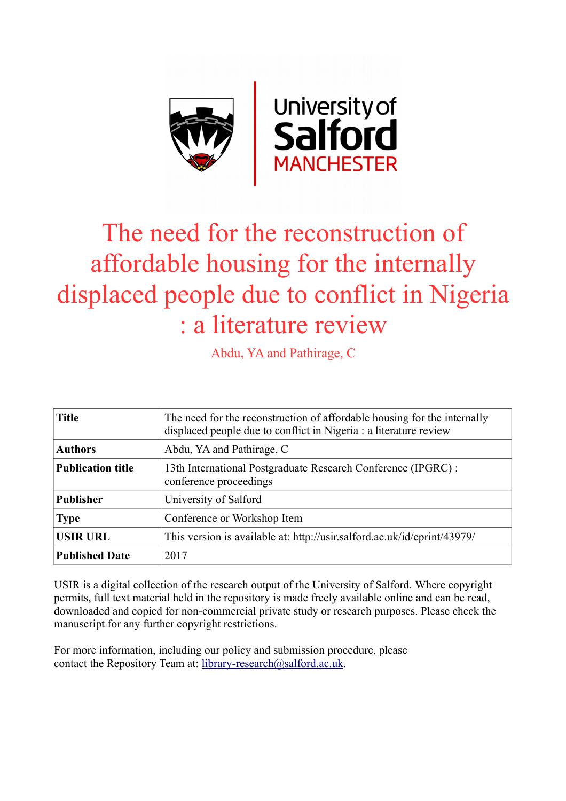

# The need for the reconstruction of affordable housing for the internally displaced people due to conflict in Nigeria : a literature review

Abdu, YA and Pathirage, C

| <b>Title</b>             | The need for the reconstruction of affordable housing for the internally<br>displaced people due to conflict in Nigeria : a literature review |  |
|--------------------------|-----------------------------------------------------------------------------------------------------------------------------------------------|--|
| <b>Authors</b>           | Abdu, YA and Pathirage, C                                                                                                                     |  |
| <b>Publication title</b> | 13th International Postgraduate Research Conference (IPGRC):<br>conference proceedings                                                        |  |
| <b>Publisher</b>         | University of Salford                                                                                                                         |  |
| <b>Type</b>              | Conference or Workshop Item                                                                                                                   |  |
| <b>USIR URL</b>          | This version is available at: http://usir.salford.ac.uk/id/eprint/43979/                                                                      |  |
| <b>Published Date</b>    | 2017                                                                                                                                          |  |

USIR is a digital collection of the research output of the University of Salford. Where copyright permits, full text material held in the repository is made freely available online and can be read, downloaded and copied for non-commercial private study or research purposes. Please check the manuscript for any further copyright restrictions.

For more information, including our policy and submission procedure, please contact the Repository Team at: [library-research@salford.ac.uk.](mailto:library-research@salford.ac.uk)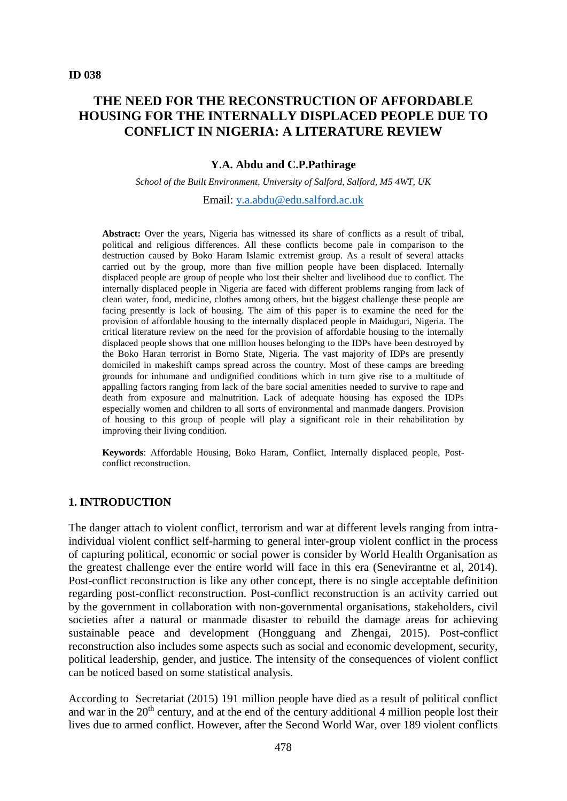## **THE NEED FOR THE RECONSTRUCTION OF AFFORDABLE HOUSING FOR THE INTERNALLY DISPLACED PEOPLE DUE TO CONFLICT IN NIGERIA: A LITERATURE REVIEW**

#### **Y.A. Abdu and C.P.Pathirage**

*School of the Built Environment, University of Salford, Salford, M5 4WT, UK* Email: [y.a.abdu@edu.salford.ac.uk](mailto:y.a.abdu@edu.salford.ac.uk)

Abstract: Over the years, Nigeria has witnessed its share of conflicts as a result of tribal, political and religious differences. All these conflicts become pale in comparison to the destruction caused by Boko Haram Islamic extremist group. As a result of several attacks carried out by the group, more than five million people have been displaced. Internally displaced people are group of people who lost their shelter and livelihood due to conflict. The internally displaced people in Nigeria are faced with different problems ranging from lack of clean water, food, medicine, clothes among others, but the biggest challenge these people are facing presently is lack of housing. The aim of this paper is to examine the need for the provision of affordable housing to the internally displaced people in Maiduguri, Nigeria. The critical literature review on the need for the provision of affordable housing to the internally displaced people shows that one million houses belonging to the IDPs have been destroyed by the Boko Haran terrorist in Borno State, Nigeria. The vast majority of IDPs are presently domiciled in makeshift camps spread across the country. Most of these camps are breeding grounds for inhumane and undignified conditions which in turn give rise to a multitude of appalling factors ranging from lack of the bare social amenities needed to survive to rape and death from exposure and malnutrition. Lack of adequate housing has exposed the IDPs especially women and children to all sorts of environmental and manmade dangers. Provision of housing to this group of people will play a significant role in their rehabilitation by improving their living condition.

**Keywords**: Affordable Housing, Boko Haram, Conflict, Internally displaced people, Postconflict reconstruction.

#### **1. INTRODUCTION**

The danger attach to violent conflict, terrorism and war at different levels ranging from intraindividual violent conflict self-harming to general inter-group violent conflict in the process of capturing political, economic or social power is consider by World Health Organisation as the greatest challenge ever the entire world will face in this era (Senevirantne et al, 2014). Post-conflict reconstruction is like any other concept, there is no single acceptable definition regarding post-conflict reconstruction. Post-conflict reconstruction is an activity carried out by the government in collaboration with non-governmental organisations, stakeholders, civil societies after a natural or manmade disaster to rebuild the damage areas for achieving sustainable peace and development (Hongguang and Zhengai, 2015). Post-conflict reconstruction also includes some aspects such as social and economic development, security, political leadership, gender, and justice. The intensity of the consequences of violent conflict can be noticed based on some statistical analysis.

According to Secretariat (2015) 191 million people have died as a result of political conflict and war in the  $20<sup>th</sup>$  century, and at the end of the century additional 4 million people lost their lives due to armed conflict. However, after the Second World War, over 189 violent conflicts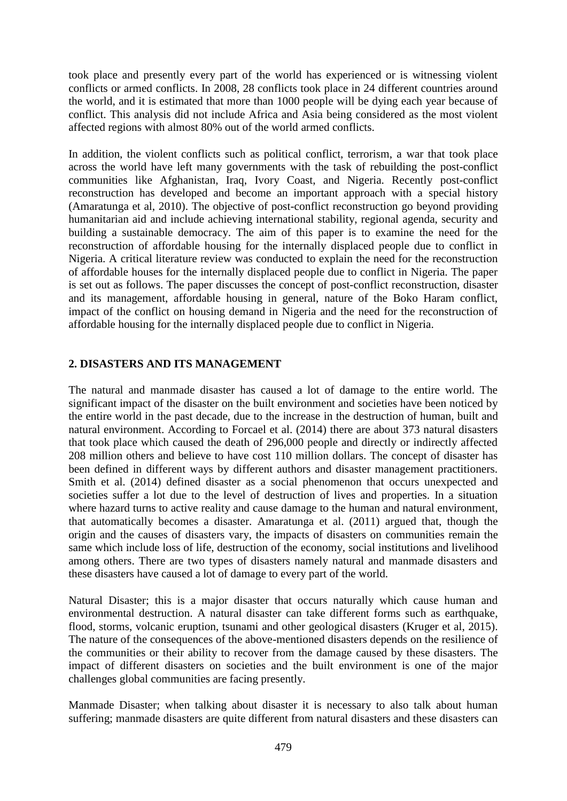took place and presently every part of the world has experienced or is witnessing violent conflicts or armed conflicts. In 2008, 28 conflicts took place in 24 different countries around the world, and it is estimated that more than 1000 people will be dying each year because of conflict. This analysis did not include Africa and Asia being considered as the most violent affected regions with almost 80% out of the world armed conflicts.

In addition, the violent conflicts such as political conflict, terrorism, a war that took place across the world have left many governments with the task of rebuilding the post-conflict communities like Afghanistan, Iraq, Ivory Coast, and Nigeria. Recently post-conflict reconstruction has developed and become an important approach with a special history (Amaratunga et al, 2010). The objective of post-conflict reconstruction go beyond providing humanitarian aid and include achieving international stability, regional agenda, security and building a sustainable democracy. The aim of this paper is to examine the need for the reconstruction of affordable housing for the internally displaced people due to conflict in Nigeria. A critical literature review was conducted to explain the need for the reconstruction of affordable houses for the internally displaced people due to conflict in Nigeria. The paper is set out as follows. The paper discusses the concept of post-conflict reconstruction, disaster and its management, affordable housing in general, nature of the Boko Haram conflict, impact of the conflict on housing demand in Nigeria and the need for the reconstruction of affordable housing for the internally displaced people due to conflict in Nigeria.

### **2. DISASTERS AND ITS MANAGEMENT**

The natural and manmade disaster has caused a lot of damage to the entire world. The significant impact of the disaster on the built environment and societies have been noticed by the entire world in the past decade, due to the increase in the destruction of human, built and natural environment. According to Forcael et al. (2014) there are about 373 natural disasters that took place which caused the death of 296,000 people and directly or indirectly affected 208 million others and believe to have cost 110 million dollars. The concept of disaster has been defined in different ways by different authors and disaster management practitioners. Smith et al. (2014) defined disaster as a social phenomenon that occurs unexpected and societies suffer a lot due to the level of destruction of lives and properties. In a situation where hazard turns to active reality and cause damage to the human and natural environment, that automatically becomes a disaster. Amaratunga et al. (2011) argued that, though the origin and the causes of disasters vary, the impacts of disasters on communities remain the same which include loss of life, destruction of the economy, social institutions and livelihood among others. There are two types of disasters namely natural and manmade disasters and these disasters have caused a lot of damage to every part of the world.

Natural Disaster; this is a major disaster that occurs naturally which cause human and environmental destruction. A natural disaster can take different forms such as earthquake, flood, storms, volcanic eruption, tsunami and other geological disasters (Kruger et al, 2015). The nature of the consequences of the above-mentioned disasters depends on the resilience of the communities or their ability to recover from the damage caused by these disasters. The impact of different disasters on societies and the built environment is one of the major challenges global communities are facing presently.

Manmade Disaster; when talking about disaster it is necessary to also talk about human suffering; manmade disasters are quite different from natural disasters and these disasters can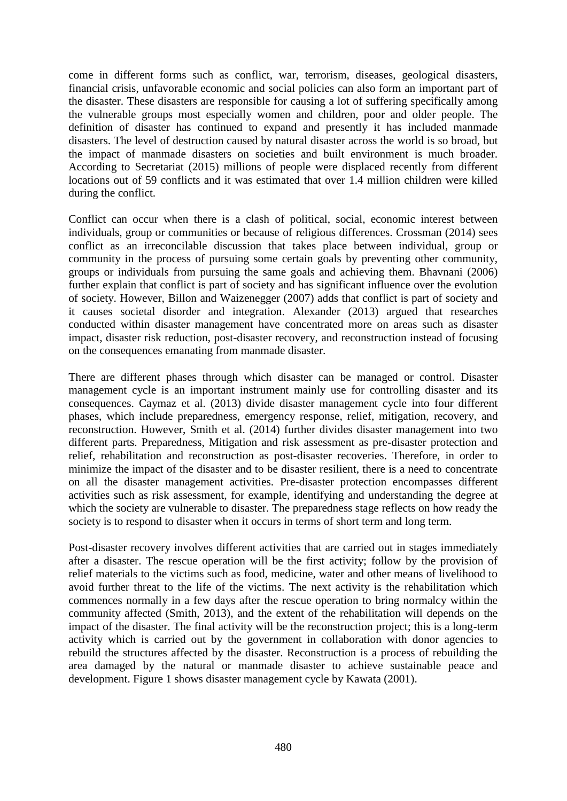come in different forms such as conflict, war, terrorism, diseases, geological disasters, financial crisis, unfavorable economic and social policies can also form an important part of the disaster. These disasters are responsible for causing a lot of suffering specifically among the vulnerable groups most especially women and children, poor and older people. The definition of disaster has continued to expand and presently it has included manmade disasters. The level of destruction caused by natural disaster across the world is so broad, but the impact of manmade disasters on societies and built environment is much broader. According to Secretariat (2015) millions of people were displaced recently from different locations out of 59 conflicts and it was estimated that over 1.4 million children were killed during the conflict.

Conflict can occur when there is a clash of political, social, economic interest between individuals, group or communities or because of religious differences. Crossman (2014) sees conflict as an irreconcilable discussion that takes place between individual, group or community in the process of pursuing some certain goals by preventing other community, groups or individuals from pursuing the same goals and achieving them. Bhavnani (2006) further explain that conflict is part of society and has significant influence over the evolution of society. However, Billon and Waizenegger (2007) adds that conflict is part of society and it causes societal disorder and integration. Alexander (2013) argued that researches conducted within disaster management have concentrated more on areas such as disaster impact, disaster risk reduction, post-disaster recovery, and reconstruction instead of focusing on the consequences emanating from manmade disaster.

There are different phases through which disaster can be managed or control. Disaster management cycle is an important instrument mainly use for controlling disaster and its consequences. Caymaz et al. (2013) divide disaster management cycle into four different phases, which include preparedness, emergency response, relief, mitigation, recovery, and reconstruction. However, Smith et al. (2014) further divides disaster management into two different parts. Preparedness, Mitigation and risk assessment as pre-disaster protection and relief, rehabilitation and reconstruction as post-disaster recoveries. Therefore, in order to minimize the impact of the disaster and to be disaster resilient, there is a need to concentrate on all the disaster management activities. Pre-disaster protection encompasses different activities such as risk assessment, for example, identifying and understanding the degree at which the society are vulnerable to disaster. The preparedness stage reflects on how ready the society is to respond to disaster when it occurs in terms of short term and long term.

Post-disaster recovery involves different activities that are carried out in stages immediately after a disaster. The rescue operation will be the first activity; follow by the provision of relief materials to the victims such as food, medicine, water and other means of livelihood to avoid further threat to the life of the victims. The next activity is the rehabilitation which commences normally in a few days after the rescue operation to bring normalcy within the community affected (Smith, 2013), and the extent of the rehabilitation will depends on the impact of the disaster. The final activity will be the reconstruction project; this is a long-term activity which is carried out by the government in collaboration with donor agencies to rebuild the structures affected by the disaster. Reconstruction is a process of rebuilding the area damaged by the natural or manmade disaster to achieve sustainable peace and development. Figure 1 shows disaster management cycle by Kawata (2001).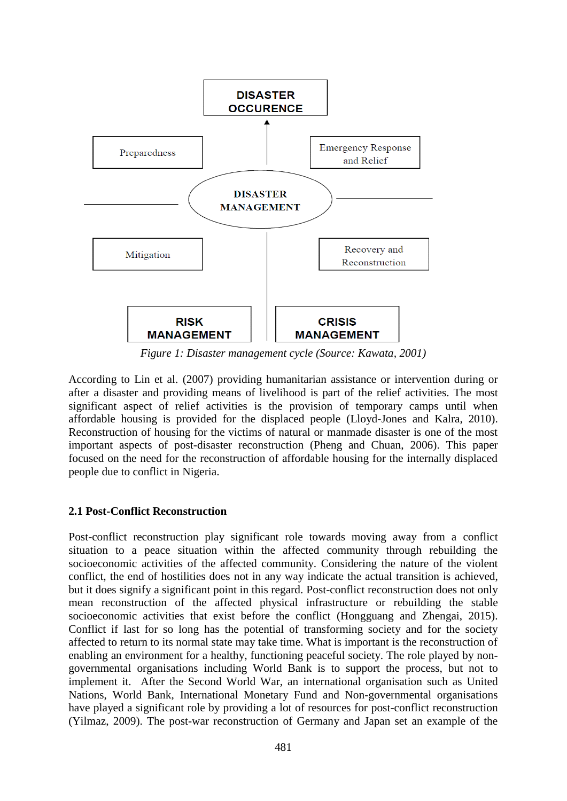

*Figure 1: Disaster management cycle (Source: Kawata, 2001)*

According to Lin et al. (2007) providing humanitarian assistance or intervention during or after a disaster and providing means of livelihood is part of the relief activities. The most significant aspect of relief activities is the provision of temporary camps until when affordable housing is provided for the displaced people (Lloyd-Jones and Kalra, 2010). Reconstruction of housing for the victims of natural or manmade disaster is one of the most important aspects of post-disaster reconstruction (Pheng and Chuan, 2006). This paper focused on the need for the reconstruction of affordable housing for the internally displaced people due to conflict in Nigeria.

### **2.1 Post-Conflict Reconstruction**

Post-conflict reconstruction play significant role towards moving away from a conflict situation to a peace situation within the affected community through rebuilding the socioeconomic activities of the affected community. Considering the nature of the violent conflict, the end of hostilities does not in any way indicate the actual transition is achieved, but it does signify a significant point in this regard. Post-conflict reconstruction does not only mean reconstruction of the affected physical infrastructure or rebuilding the stable socioeconomic activities that exist before the conflict (Hongguang and Zhengai, 2015). Conflict if last for so long has the potential of transforming society and for the society affected to return to its normal state may take time. What is important is the reconstruction of enabling an environment for a healthy, functioning peaceful society. The role played by nongovernmental organisations including World Bank is to support the process, but not to implement it. After the Second World War, an international organisation such as United Nations, World Bank, International Monetary Fund and Non-governmental organisations have played a significant role by providing a lot of resources for post-conflict reconstruction (Yilmaz, 2009). The post-war reconstruction of Germany and Japan set an example of the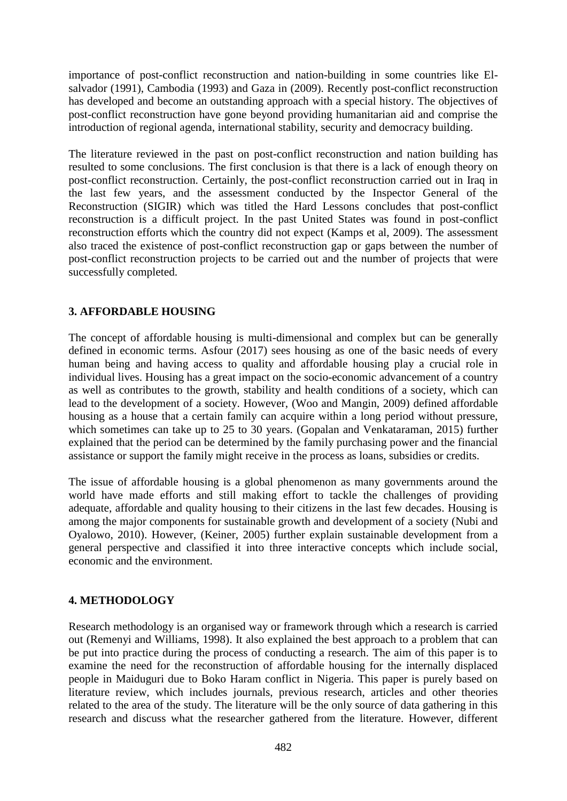importance of post-conflict reconstruction and nation-building in some countries like Elsalvador (1991), Cambodia (1993) and Gaza in (2009). Recently post-conflict reconstruction has developed and become an outstanding approach with a special history. The objectives of post-conflict reconstruction have gone beyond providing humanitarian aid and comprise the introduction of regional agenda, international stability, security and democracy building.

The literature reviewed in the past on post-conflict reconstruction and nation building has resulted to some conclusions. The first conclusion is that there is a lack of enough theory on post-conflict reconstruction. Certainly, the post-conflict reconstruction carried out in Iraq in the last few years, and the assessment conducted by the Inspector General of the Reconstruction (SIGIR) which was titled the Hard Lessons concludes that post-conflict reconstruction is a difficult project. In the past United States was found in post-conflict reconstruction efforts which the country did not expect (Kamps et al, 2009). The assessment also traced the existence of post-conflict reconstruction gap or gaps between the number of post-conflict reconstruction projects to be carried out and the number of projects that were successfully completed.

## **3. AFFORDABLE HOUSING**

The concept of affordable housing is multi-dimensional and complex but can be generally defined in economic terms. Asfour (2017) sees housing as one of the basic needs of every human being and having access to quality and affordable housing play a crucial role in individual lives. Housing has a great impact on the socio-economic advancement of a country as well as contributes to the growth, stability and health conditions of a society, which can lead to the development of a society. However, (Woo and Mangin, 2009) defined affordable housing as a house that a certain family can acquire within a long period without pressure, which sometimes can take up to 25 to 30 years. (Gopalan and Venkataraman, 2015) further explained that the period can be determined by the family purchasing power and the financial assistance or support the family might receive in the process as loans, subsidies or credits.

The issue of affordable housing is a global phenomenon as many governments around the world have made efforts and still making effort to tackle the challenges of providing adequate, affordable and quality housing to their citizens in the last few decades. Housing is among the major components for sustainable growth and development of a society (Nubi and Oyalowo, 2010). However, (Keiner, 2005) further explain sustainable development from a general perspective and classified it into three interactive concepts which include social, economic and the environment.

### **4. METHODOLOGY**

Research methodology is an organised way or framework through which a research is carried out (Remenyi and Williams, 1998). It also explained the best approach to a problem that can be put into practice during the process of conducting a research. The aim of this paper is to examine the need for the reconstruction of affordable housing for the internally displaced people in Maiduguri due to Boko Haram conflict in Nigeria. This paper is purely based on literature review, which includes journals, previous research, articles and other theories related to the area of the study. The literature will be the only source of data gathering in this research and discuss what the researcher gathered from the literature. However, different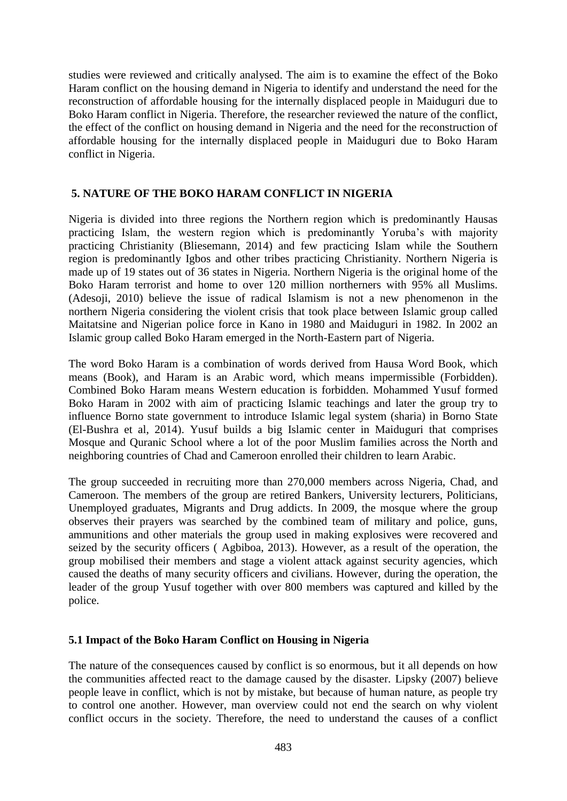studies were reviewed and critically analysed. The aim is to examine the effect of the Boko Haram conflict on the housing demand in Nigeria to identify and understand the need for the reconstruction of affordable housing for the internally displaced people in Maiduguri due to Boko Haram conflict in Nigeria. Therefore, the researcher reviewed the nature of the conflict, the effect of the conflict on housing demand in Nigeria and the need for the reconstruction of affordable housing for the internally displaced people in Maiduguri due to Boko Haram conflict in Nigeria.

## **5. NATURE OF THE BOKO HARAM CONFLICT IN NIGERIA**

Nigeria is divided into three regions the Northern region which is predominantly Hausas practicing Islam, the western region which is predominantly Yoruba's with majority practicing Christianity (Bliesemann, 2014) and few practicing Islam while the Southern region is predominantly Igbos and other tribes practicing Christianity. Northern Nigeria is made up of 19 states out of 36 states in Nigeria. Northern Nigeria is the original home of the Boko Haram terrorist and home to over 120 million northerners with 95% all Muslims. (Adesoji, 2010) believe the issue of radical Islamism is not a new phenomenon in the northern Nigeria considering the violent crisis that took place between Islamic group called Maitatsine and Nigerian police force in Kano in 1980 and Maiduguri in 1982. In 2002 an Islamic group called Boko Haram emerged in the North-Eastern part of Nigeria.

The word Boko Haram is a combination of words derived from Hausa Word Book, which means (Book), and Haram is an Arabic word, which means impermissible (Forbidden). Combined Boko Haram means Western education is forbidden. Mohammed Yusuf formed Boko Haram in 2002 with aim of practicing Islamic teachings and later the group try to influence Borno state government to introduce Islamic legal system (sharia) in Borno State (El-Bushra et al, 2014). Yusuf builds a big Islamic center in Maiduguri that comprises Mosque and Quranic School where a lot of the poor Muslim families across the North and neighboring countries of Chad and Cameroon enrolled their children to learn Arabic.

The group succeeded in recruiting more than 270,000 members across Nigeria, Chad, and Cameroon. The members of the group are retired Bankers, University lecturers, Politicians, Unemployed graduates, Migrants and Drug addicts. In 2009, the mosque where the group observes their prayers was searched by the combined team of military and police, guns, ammunitions and other materials the group used in making explosives were recovered and seized by the security officers ( Agbiboa, 2013). However, as a result of the operation, the group mobilised their members and stage a violent attack against security agencies, which caused the deaths of many security officers and civilians. However, during the operation, the leader of the group Yusuf together with over 800 members was captured and killed by the police.

### **5.1 Impact of the Boko Haram Conflict on Housing in Nigeria**

The nature of the consequences caused by conflict is so enormous, but it all depends on how the communities affected react to the damage caused by the disaster. Lipsky (2007) believe people leave in conflict, which is not by mistake, but because of human nature, as people try to control one another. However, man overview could not end the search on why violent conflict occurs in the society. Therefore, the need to understand the causes of a conflict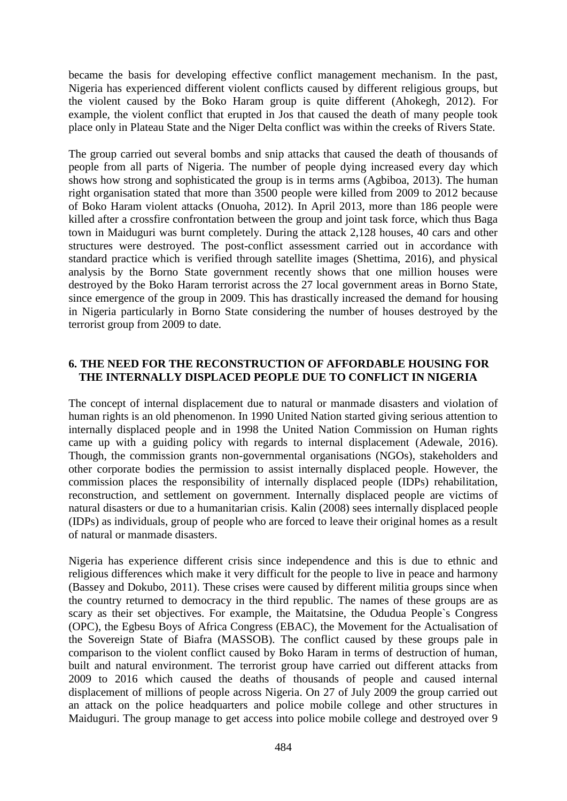became the basis for developing effective conflict management mechanism. In the past, Nigeria has experienced different violent conflicts caused by different religious groups, but the violent caused by the Boko Haram group is quite different (Ahokegh, 2012). For example, the violent conflict that erupted in Jos that caused the death of many people took place only in Plateau State and the Niger Delta conflict was within the creeks of Rivers State.

The group carried out several bombs and snip attacks that caused the death of thousands of people from all parts of Nigeria. The number of people dying increased every day which shows how strong and sophisticated the group is in terms arms (Agbiboa, 2013). The human right organisation stated that more than 3500 people were killed from 2009 to 2012 because of Boko Haram violent attacks (Onuoha, 2012). In April 2013, more than 186 people were killed after a crossfire confrontation between the group and joint task force, which thus Baga town in Maiduguri was burnt completely. During the attack 2,128 houses, 40 cars and other structures were destroyed. The post-conflict assessment carried out in accordance with standard practice which is verified through satellite images (Shettima, 2016), and physical analysis by the Borno State government recently shows that one million houses were destroyed by the Boko Haram terrorist across the 27 local government areas in Borno State, since emergence of the group in 2009. This has drastically increased the demand for housing in Nigeria particularly in Borno State considering the number of houses destroyed by the terrorist group from 2009 to date.

#### **6. THE NEED FOR THE RECONSTRUCTION OF AFFORDABLE HOUSING FOR THE INTERNALLY DISPLACED PEOPLE DUE TO CONFLICT IN NIGERIA**

The concept of internal displacement due to natural or manmade disasters and violation of human rights is an old phenomenon. In 1990 United Nation started giving serious attention to internally displaced people and in 1998 the United Nation Commission on Human rights came up with a guiding policy with regards to internal displacement (Adewale, 2016). Though, the commission grants non-governmental organisations (NGOs), stakeholders and other corporate bodies the permission to assist internally displaced people. However, the commission places the responsibility of internally displaced people (IDPs) rehabilitation, reconstruction, and settlement on government. Internally displaced people are victims of natural disasters or due to a humanitarian crisis. Kalin (2008) sees internally displaced people (IDPs) as individuals, group of people who are forced to leave their original homes as a result of natural or manmade disasters.

Nigeria has experience different crisis since independence and this is due to ethnic and religious differences which make it very difficult for the people to live in peace and harmony (Bassey and Dokubo, 2011). These crises were caused by different militia groups since when the country returned to democracy in the third republic. The names of these groups are as scary as their set objectives. For example, the Maitatsine, the Odudua People`s Congress (OPC), the Egbesu Boys of Africa Congress (EBAC), the Movement for the Actualisation of the Sovereign State of Biafra (MASSOB). The conflict caused by these groups pale in comparison to the violent conflict caused by Boko Haram in terms of destruction of human, built and natural environment. The terrorist group have carried out different attacks from 2009 to 2016 which caused the deaths of thousands of people and caused internal displacement of millions of people across Nigeria. On 27 of July 2009 the group carried out an attack on the police headquarters and police mobile college and other structures in Maiduguri. The group manage to get access into police mobile college and destroyed over 9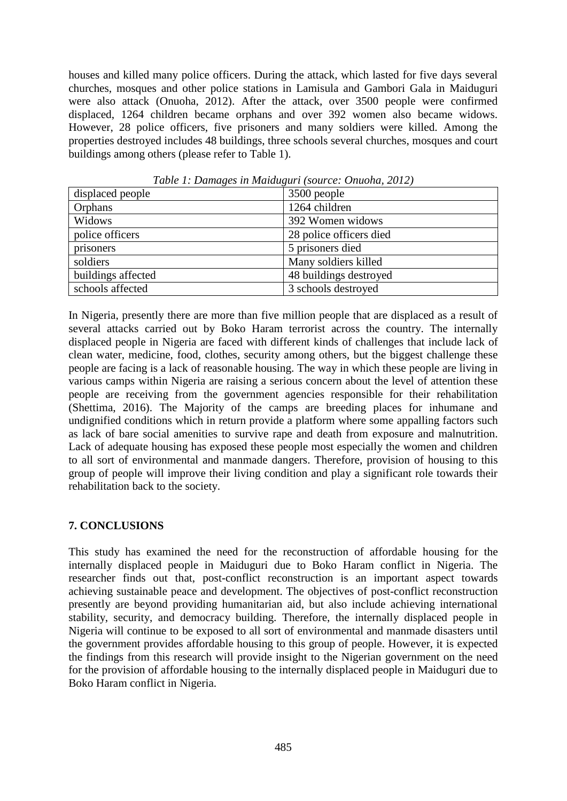houses and killed many police officers. During the attack, which lasted for five days several churches, mosques and other police stations in Lamisula and Gambori Gala in Maiduguri were also attack (Onuoha, 2012). After the attack, over 3500 people were confirmed displaced, 1264 children became orphans and over 392 women also became widows. However, 28 police officers, five prisoners and many soldiers were killed. Among the properties destroyed includes 48 buildings, three schools several churches, mosques and court buildings among others (please refer to Table 1).

| displaced people   | 3500 people             |
|--------------------|-------------------------|
| Orphans            | 1264 children           |
| Widows             | 392 Women widows        |
| police officers    | 28 police officers died |
| prisoners          | 5 prisoners died        |
| soldiers           | Many soldiers killed    |
| buildings affected | 48 buildings destroyed  |
| schools affected   | 3 schools destroyed     |

*Table 1: Damages in Maiduguri (source: Onuoha, 2012)*

In Nigeria, presently there are more than five million people that are displaced as a result of several attacks carried out by Boko Haram terrorist across the country. The internally displaced people in Nigeria are faced with different kinds of challenges that include lack of clean water, medicine, food, clothes, security among others, but the biggest challenge these people are facing is a lack of reasonable housing. The way in which these people are living in various camps within Nigeria are raising a serious concern about the level of attention these people are receiving from the government agencies responsible for their rehabilitation (Shettima, 2016). The Majority of the camps are breeding places for inhumane and undignified conditions which in return provide a platform where some appalling factors such as lack of bare social amenities to survive rape and death from exposure and malnutrition. Lack of adequate housing has exposed these people most especially the women and children to all sort of environmental and manmade dangers. Therefore, provision of housing to this group of people will improve their living condition and play a significant role towards their rehabilitation back to the society.

### **7. CONCLUSIONS**

This study has examined the need for the reconstruction of affordable housing for the internally displaced people in Maiduguri due to Boko Haram conflict in Nigeria. The researcher finds out that, post-conflict reconstruction is an important aspect towards achieving sustainable peace and development. The objectives of post-conflict reconstruction presently are beyond providing humanitarian aid, but also include achieving international stability, security, and democracy building. Therefore, the internally displaced people in Nigeria will continue to be exposed to all sort of environmental and manmade disasters until the government provides affordable housing to this group of people. However, it is expected the findings from this research will provide insight to the Nigerian government on the need for the provision of affordable housing to the internally displaced people in Maiduguri due to Boko Haram conflict in Nigeria.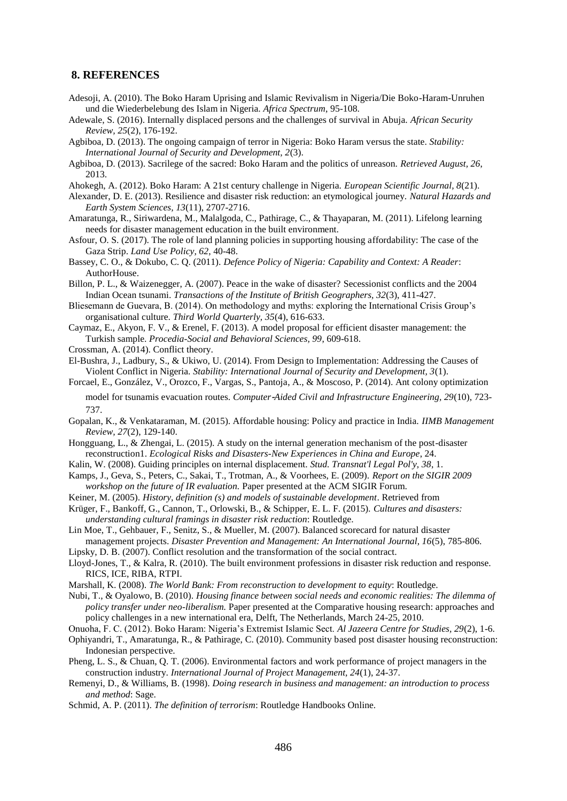#### **8. REFERENCES**

- Adesoji, A. (2010). The Boko Haram Uprising and Islamic Revivalism in Nigeria/Die Boko-Haram-Unruhen und die Wiederbelebung des Islam in Nigeria. *Africa Spectrum*, 95-108.
- Adewale, S. (2016). Internally displaced persons and the challenges of survival in Abuja. *African Security Review, 25*(2), 176-192.
- Agbiboa, D. (2013). The ongoing campaign of terror in Nigeria: Boko Haram versus the state. *Stability: International Journal of Security and Development, 2*(3).
- Agbiboa, D. (2013). Sacrilege of the sacred: Boko Haram and the politics of unreason. *Retrieved August, 26*, 2013.
- Ahokegh, A. (2012). Boko Haram: A 21st century challenge in Nigeria. *European Scientific Journal, 8*(21).
- Alexander, D. E. (2013). Resilience and disaster risk reduction: an etymological journey. *Natural Hazards and Earth System Sciences, 13*(11), 2707-2716.
- Amaratunga, R., Siriwardena, M., Malalgoda, C., Pathirage, C., & Thayaparan, M. (2011). Lifelong learning needs for disaster management education in the built environment.
- Asfour, O. S. (2017). The role of land planning policies in supporting housing affordability: The case of the Gaza Strip. *Land Use Policy, 62*, 40-48.
- Bassey, C. O., & Dokubo, C. Q. (2011). *Defence Policy of Nigeria: Capability and Context: A Reader*: AuthorHouse.
- Billon, P. L., & Waizenegger, A. (2007). Peace in the wake of disaster? Secessionist conflicts and the 2004 Indian Ocean tsunami. *Transactions of the Institute of British Geographers, 32*(3), 411-427.
- Bliesemann de Guevara, B. (2014). On methodology and myths: exploring the International Crisis Group's organisational culture. *Third World Quarterly, 35*(4), 616-633.
- Caymaz, E., Akyon, F. V., & Erenel, F. (2013). A model proposal for efficient disaster management: the Turkish sample. *Procedia-Social and Behavioral Sciences, 99*, 609-618.
- Crossman, A. (2014). Conflict theory.
- El-Bushra, J., Ladbury, S., & Ukiwo, U. (2014). From Design to Implementation: Addressing the Causes of Violent Conflict in Nigeria. *Stability: International Journal of Security and Development, 3*(1).
- Forcael, E., González, V., Orozco, F., Vargas, S., Pantoja, A., & Moscoso, P. (2014). Ant colony optimization model for tsunamis evacuation routes. *Computer*‐*Aided Civil and Infrastructure Engineering, 29*(10), 723- 737.
- Gopalan, K., & Venkataraman, M. (2015). Affordable housing: Policy and practice in India. *IIMB Management Review, 27*(2), 129-140.
- Hongguang, L., & Zhengai, L. (2015). A study on the internal generation mechanism of the post-disaster reconstruction1. *Ecological Risks and Disasters-New Experiences in China and Europe*, 24.
- Kalin, W. (2008). Guiding principles on internal displacement. *Stud. Transnat'l Legal Pol'y, 38*, 1.
- Kamps, J., Geva, S., Peters, C., Sakai, T., Trotman, A., & Voorhees, E. (2009). *Report on the SIGIR 2009 workshop on the future of IR evaluation.* Paper presented at the ACM SIGIR Forum.
- Keiner, M. (2005). *History, definition (s) and models of sustainable development*. Retrieved from
- Krüger, F., Bankoff, G., Cannon, T., Orlowski, B., & Schipper, E. L. F. (2015). *Cultures and disasters: understanding cultural framings in disaster risk reduction*: Routledge.
- Lin Moe, T., Gehbauer, F., Senitz, S., & Mueller, M. (2007). Balanced scorecard for natural disaster management projects. *Disaster Prevention and Management: An International Journal, 16*(5), 785-806.
- Lipsky, D. B. (2007). Conflict resolution and the transformation of the social contract.
- Lloyd-Jones, T., & Kalra, R. (2010). The built environment professions in disaster risk reduction and response. RICS, ICE, RIBA, RTPI.
- Marshall, K. (2008). *The World Bank: From reconstruction to development to equity*: Routledge.
- Nubi, T., & Oyalowo, B. (2010). *Housing finance between social needs and economic realities: The dilemma of policy transfer under neo-liberalism.* Paper presented at the Comparative housing research: approaches and policy challenges in a new international era, Delft, The Netherlands, March 24-25, 2010.
- Onuoha, F. C. (2012). Boko Haram: Nigeria's Extremist Islamic Sect. *Al Jazeera Centre for Studies, 29*(2), 1-6. Ophiyandri, T., Amaratunga, R., & Pathirage, C. (2010). Community based post disaster housing reconstruction: Indonesian perspective.
- Pheng, L. S., & Chuan, Q. T. (2006). Environmental factors and work performance of project managers in the construction industry. *International Journal of Project Management, 24*(1), 24-37.
- Remenyi, D., & Williams, B. (1998). *Doing research in business and management: an introduction to process and method*: Sage.
- Schmid, A. P. (2011). *The definition of terrorism*: Routledge Handbooks Online.